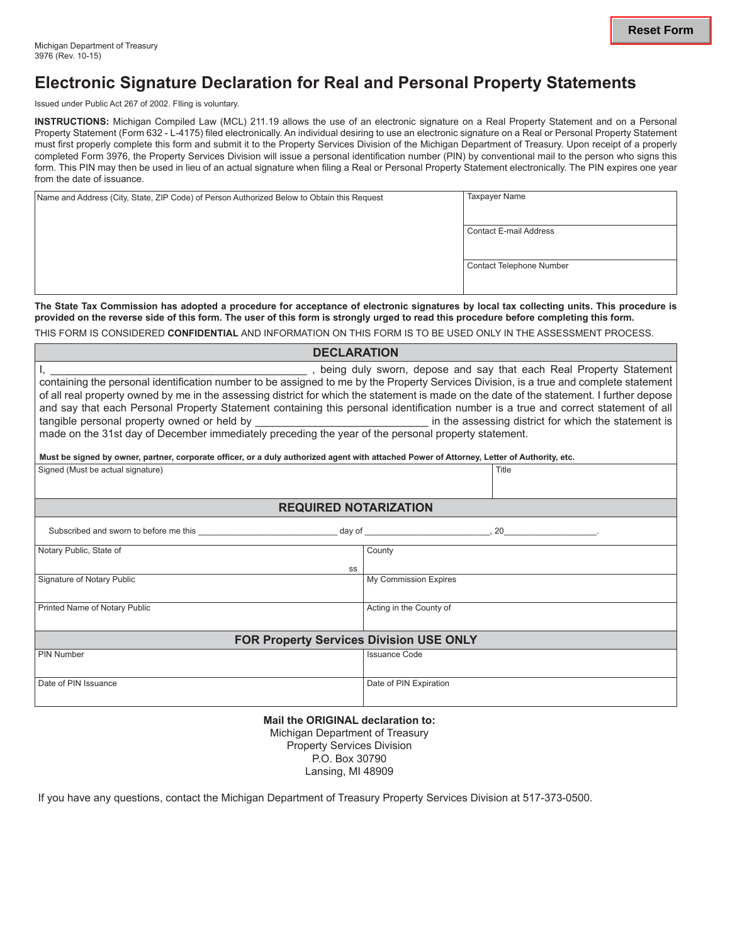## **Electronic Signature Declaration for Real and Personal Property Statements**

Issued under Public Act 267 of 2002. FIling is voluntary.

**INSTRUCTIONS:** Michigan Compiled Law (MCL) 211.19 allows the use of an electronic signature on a Real Property Statement and on a Personal Property Statement (Form 632 - L-4175) filed electronically. An individual desiring to use an electronic signature on a Real or Personal Property Statement must first properly complete this form and submit it to the Property Services Division of the Michigan Department of Treasury. Upon receipt of a properly completed Form 3976, the Property Services Division will issue a personal identification number (PIN) by conventional mail to the person who signs this form. This PIN may then be used in lieu of an actual signature when filing a Real or Personal Property Statement electronically. The PIN expires one year from the date of issuance.

| Name and Address (City, State, ZIP Code) of Person Authorized Below to Obtain this Request | <b>Taxpayer Name</b>     |
|--------------------------------------------------------------------------------------------|--------------------------|
|                                                                                            |                          |
|                                                                                            | Contact E-mail Address   |
|                                                                                            |                          |
|                                                                                            | Contact Telephone Number |
|                                                                                            |                          |

**The State Tax Commission has adopted a procedure for acceptance of electronic signatures by local tax collecting units. This procedure is provided on the reverse side of this form. The user of this form is strongly urged to read this procedure before completing this form.**

**DECLARATION** 

THIS FORM IS CONSIDERED **CONFIDENTIAL** AND INFORMATION ON THIS FORM IS TO BE USED ONLY IN THE ASSESSMENT PROCESS.

| DECLARAIION                                                                                                                                                                                                                                                                                                                                                                                                                                                                                                                                                                                             |                         |       |  |
|---------------------------------------------------------------------------------------------------------------------------------------------------------------------------------------------------------------------------------------------------------------------------------------------------------------------------------------------------------------------------------------------------------------------------------------------------------------------------------------------------------------------------------------------------------------------------------------------------------|-------------------------|-------|--|
| being duly sworn, depose and say that each Real Property Statement<br>containing the personal identification number to be assigned to me by the Property Services Division, is a true and complete statement<br>of all real property owned by me in the assessing district for which the statement is made on the date of the statement. I further depose<br>and say that each Personal Property Statement containing this personal identification number is a true and correct statement of all<br>made on the 31st day of December immediately preceding the year of the personal property statement. |                         |       |  |
| Must be signed by owner, partner, corporate officer, or a duly authorized agent with attached Power of Attorney, Letter of Authority, etc.                                                                                                                                                                                                                                                                                                                                                                                                                                                              |                         |       |  |
| Signed (Must be actual signature)                                                                                                                                                                                                                                                                                                                                                                                                                                                                                                                                                                       |                         | Title |  |
| <b>REQUIRED NOTARIZATION</b>                                                                                                                                                                                                                                                                                                                                                                                                                                                                                                                                                                            |                         |       |  |
|                                                                                                                                                                                                                                                                                                                                                                                                                                                                                                                                                                                                         |                         |       |  |
| Notary Public, State of<br>SS                                                                                                                                                                                                                                                                                                                                                                                                                                                                                                                                                                           | County                  |       |  |
| Signature of Notary Public                                                                                                                                                                                                                                                                                                                                                                                                                                                                                                                                                                              | My Commission Expires   |       |  |
| Printed Name of Notary Public                                                                                                                                                                                                                                                                                                                                                                                                                                                                                                                                                                           | Acting in the County of |       |  |
| <b>FOR Property Services Division USE ONLY</b>                                                                                                                                                                                                                                                                                                                                                                                                                                                                                                                                                          |                         |       |  |
| <b>PIN Number</b>                                                                                                                                                                                                                                                                                                                                                                                                                                                                                                                                                                                       | <b>Issuance Code</b>    |       |  |
| Date of PIN Issuance                                                                                                                                                                                                                                                                                                                                                                                                                                                                                                                                                                                    | Date of PIN Expiration  |       |  |

**Mail the ORIGINAL declaration to:** Michigan Department of Treasury Property Services Division P.O. Box 30790 Lansing, MI 48909

If you have any questions, contact the Michigan Department of Treasury Property Services Division at 517-373-0500.